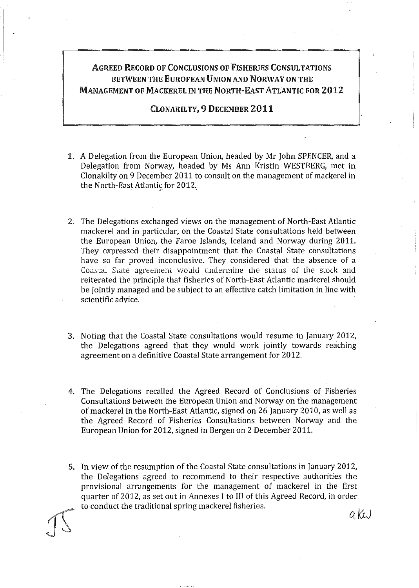## AGREED RECORD OF CONCLUSIONS OF FISHERIES CONSULTATIONS BETWEEN THE EUROPEAN UNION AND NORWAY ON THE MANAGEMENT OF MACKEREL IN THE NORTH-EAST ATLANTIC FOR 2012

#### CLONAKILTY, 9 DECEMBER 2011

- 1. A Delegation from the European Union, headed by Mr John SPENCER, and a Delegation from Norway, headed by Ms Ann Kristin WESTBERG, met in Clonakilty on 9 December 2011 to consult on the management of mackerel in the North-East Atlantic for 2012.
- 2. The Delegations exchanged views on the management of North-East Atlantic mackerel and in particular, on the Coastal State consultations held between the European Union, the Faroe Islands, leeland and Norway during 2011. They expressed their disappointment that the Coastal State consultations have so far proved inconclusive. They considered that the absence of a Coastal State agreement would undermine the status of the stock and reiterated the principle that fisheries of North-East Atlantic mackerel should be jointly managed and be subject to an effective catch limitation in line with scientific advice.
- 3. Noting that the Coastal State consultations would resume in January 2012, the Delegations agreed that they would work jointly towards reaching agreement on a definitive Coastal State arrangement for 2012.
- 4. The Delegations recalled the Agreed Record of Conclusions of Fisheries Consultations between the European Union and Norway on the management of mackerel in the North-East Atlantic, signed on 26 January 2010, as wel! as the Agreed Record of Fisheries Consultations between Norway and the European Union for 2012, signed in Bergen on 2 December 2011.
- 5. In view of the resumption of the Coastal State consultations in January 2012, the Delegations agreed to recommend to their respective authorities the provisional arrangements for the management of mackerel in the first quarter of 2012, as set out in Annexes I to lil of this Agreed Record, in order to conduct the traditional spring mackerel fisheries.

akw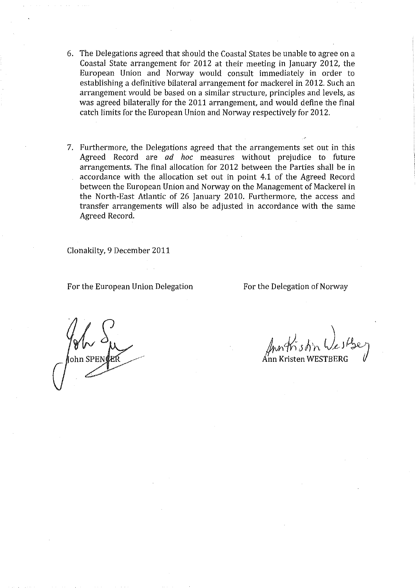- 6. The Delegations agreed that should the Coastal States be unable to agree on a Coastal State arrangement for 2012 at their meeting in january 2012, the European Union and Norway would consult immediately in order to establishing a definitive bilateral arrangement for mackerel in 2012. Such an arrangement would be based on a similar structure, principles and levels, as was agreed bilaterally for the 2011 arrangement, and would define the final catch limits for the European Union and Norway respectively for 2012.
- 7. Furthermore, the Delegations agreed that the arrangements set out in this Agreed Record are *ad hoc* measures without prejudice to future arrangements. The final allocation for 2012 between the Parties shall be in accordance with the allocation set out in point 4.1 of the Agreed Record between the European Union and Norway on the Management of Mackerel in the North-East Atlantic of 26 january 2010. Furthermore, the access and transfer arrangements will also be adjusted in accordance with the same Agreed Record.

Clonakilty, 9 December 2011

For the European Union Delegation For the Delegation of Norway

Ann Kristen WESTBERG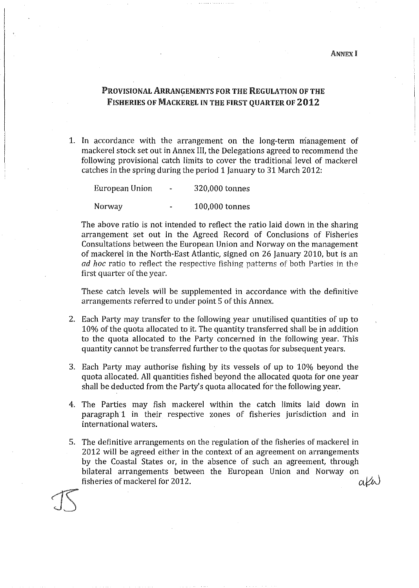ANNEX I

### PROVISIONAL ARRANGEMENTS FOR THE REGULATION OF THE FISHERlES OF MACKEREL IN THE FIRST QUARTER OF 2012

1. In accordance with the arrangement on the long-term management of mackerel stock set out in Annex lil, the Delegations agreed to recommend the following provisional catch limits to cover the traditional level of mackerel catches in the spring during the period 1 January to 31 March 2012:

European Union 320,000 tonnes

Norway 100,000 tonnes

The above ratio is not intended to reflect the ratio laid down in the sharing arrangement set out in the Agreed Record of Conclusions of Fisheries Consultations between the European Union and Norway on the management of mackerel in the North-East Atlantic, signed on 26 January 2010, but is an *ad hoc* ratio to reflect the respective fishing patterns of both Parties in the first quarter of the year.

These catch levels will be supplemented in accordance with the definitive arrangements referred to under point 5 of this Annex.

- 2. Each Party may transfer to the following year unutilised quantities of up to 10% of the quota allocated to it. The quantity transferred shall be in addition to the quota allocated to the Party concerned in the following year. This quantity cannot be transferred further to the quotas for subsequent years.
- 3. Each Party may authorise fishing by its vessels of up to 10% beyoud the quota allocated. All quantities fished beyond the allocated quota for one year shall be deducted from the Party's quota allocated for the following year.
- 4. The Parties may fish mackerel within the catch limits laid down in paragraph 1 in their respective zones of fisheries jurisdiction and in international waters.
- 5. The definitive arrangements on the regulation of the fisheries of mackerel in 2012 wil! be agreed either in the context of an agreement on arrangements by the Coastal States or, in the absence of such an agreement, through bilateral arrangements between the European Union and Norway on  $\alpha\beta\alpha$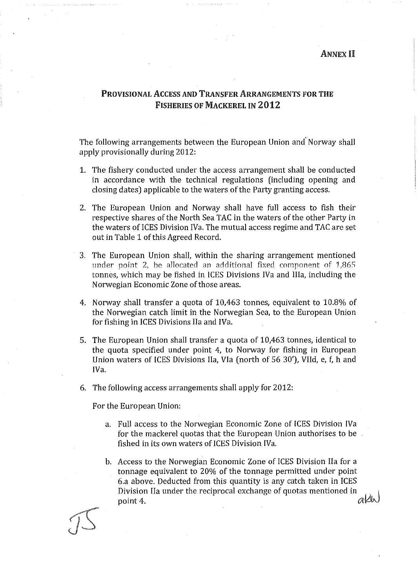#### **ANNEX II**

## PROVISIONAL ACCESS AND TRANSFER ARRANGEMENTS FOR THE FISHERlES OF MACKEREL IN 2012

The following arrangements between the European Union and'Norway shall apply provisionally during 2012:

- 1. The fishery conducted under the access arrangement shall be conducted in accordance with the technical regulations (including opening and closing dates) applicable to the waters of the Party granting access.
- 2. The European Union and Norway shall have full access to fish their respective shares of the North Sea TAC in the waters of the other Party in the waters of ICES Division IVa. The mutual access regime and TAC are set out in Table 1 of this Agreed Record.
- 3. The European Union shall, within the sharing arrangement mentioned under point 2, be allocated an additional fixed component of 1,865 tonnes, which may be fished in !CES Divisions !Va and lila, including the Norwegian Economic Zone of those areas.
- 4. Norway shall transfer a quota of 10,463 tonnes, equivalent to 10.8% of the Norwegian catch limit in the Norwegian Sea, to the European Union for fishing in ICES Divisions IIa and IVa.
- 5. The European Union shall transfer a quota of 10,463 tonnes, identical to the quota specified under point 4, to Norway for fishing in European Union waters of !CES Divisions Ila, Vla (north of 56 30'), VIId, e, f, h and !Va.
- 6. The following access arrangements shall apply for 2012:

For the European Union:

- a. Full access to the Norwegian Economie Zone of !CES Division !Va for the mackerel quotas that the European Union authorises to be fished in its own waters of ICES Division IVa.
- b. Access to the Norwegian Economic Zone of ICES Division IIa for a tonnage equivalent to 20% of the tonnage permitted under point 6.a above. Deducted from this quantity is any catch taken in !CES Division IIa under the reciprocal exchange of quotas mentioned in  $\partial \mathcal{U}$ point 4.  $\alpha$  is a set of  $\alpha$  is the set of  $\alpha$  is the  $\alpha$  is the  $\alpha$  is the  $\alpha$  is the  $\alpha$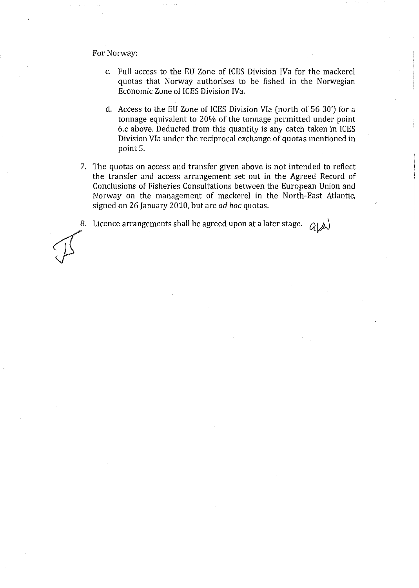For Norway:

- c. Full access to the EU Zone of !CES Division !Va for the mackerel quotas that Norway authorises to be fished in the Norwegian Economie Zone of !CES Division !Va.
- d. Access to the EU Zone of !CES Division Vla ( north of 56 30') for a tonnage equivalent to 20% of the tonnage permitted under point 6.c above. Deducted from this quantity is any catch taken in !CES Division VIa under the reciprocal exchange of quotas mentioned in point 5.
- 7. The quotas on access and transfer given above is not intended to reflect the transfer and access arrangement set out in the Agreed Record of Conclusions of Fisheries Consultations between the European Union and Norway on the management of mackerel in the North-East Atlantic, signed on 26 January 2010, but are *ad hoc* quotas.

8. Licence arrangements shall be agreed upon at a later stage.  $G[\mathcal{A}]$ 

 $\mathcal{J}$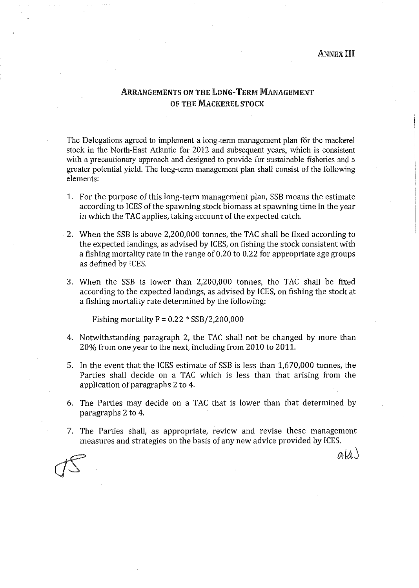#### ANNEX Hl

## ARRANGEMENT§ ON THE LONG-TERM MANAGEMENT OF THE MACKEREL STOCK

The Delegations agreed to implement a long-term management plan fór the mackerel stock in the North-East Atlantic for 2012 and subsequent years, which is consistent with a precautionary approach and designed to provide for sustainable fisheries and a greater potential yield. The long-term management plan shall consist of the following elements:

- 1. For the purpose of this long-term management plan, SSB means the estimate according to ICES of the spawning stock biomass at spawning time in the year in which the TAC applies, taking account of the expected catch.
- 2. When the SSB is above 2,200,000 tonnes, the TAC shall be fixed according to the expected landings, as advised by !CES, on fishing the stock consistent with a fishing mortality rate in the range of 0.20 to 0.22 for appropriate age groups as defined by !CES.
- 3. When the SSB is lower than 2,200,000 tonnes, the TAC shall be fixed according to the expected landings, as advised by !CES, on fishing the stock at a fishing mortality rate determined by the following:

Fishing mortality  $F = 0.22 * SSB/2,200,000$ 

- 4. Notwithstanding paragraph 2, the TAC shall not be changed by more than 20% from one year to the next, including from 2010 to 2011.
- 5. In the event that the ICES estimate of SSB is less than 1,670,000 tonnes, the Parties shall decide on a TAC which is less than that arising from the application of paragraphs 2 to 4.
- 6. The Parties may deelde on a TAC that is lower than that determined by paragraphs 2 to 4.
- 7. The Parties shall, as appropriate, review and revise these management measures and strategies on the basis of any new advice provided by ICES.

*od,i)*